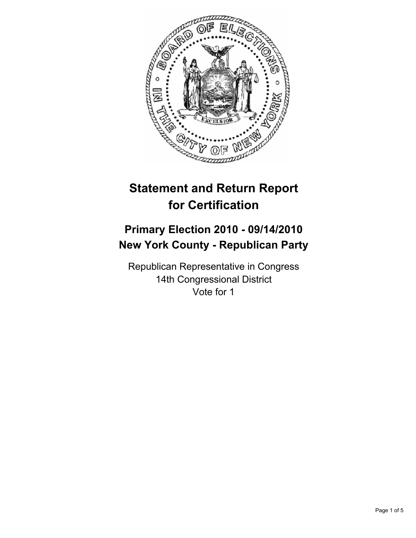

# **Statement and Return Report for Certification**

# **Primary Election 2010 - 09/14/2010 New York County - Republican Party**

Republican Representative in Congress 14th Congressional District Vote for 1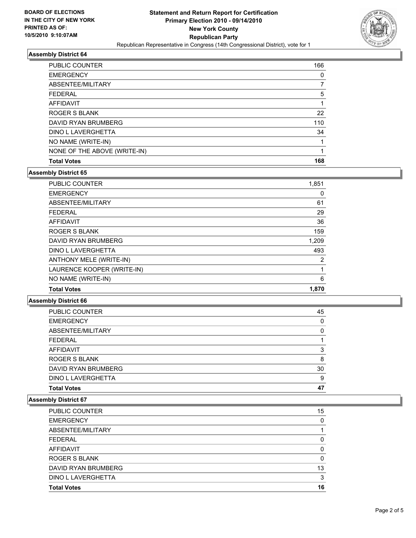

#### **Assembly District 64**

| <b>PUBLIC COUNTER</b>        | 166 |
|------------------------------|-----|
| <b>EMERGENCY</b>             | 0   |
| ABSENTEE/MILITARY            |     |
| FEDERAL                      | 5   |
| AFFIDAVIT                    |     |
| ROGER S BLANK                | 22  |
| DAVID RYAN BRUMBERG          | 110 |
| DINO L LAVERGHETTA           | 34  |
| NO NAME (WRITE-IN)           | 1   |
| NONE OF THE ABOVE (WRITE-IN) |     |
| <b>Total Votes</b>           | 168 |

#### **Assembly District 65**

| <b>PUBLIC COUNTER</b>      | 1,851 |
|----------------------------|-------|
| <b>EMERGENCY</b>           | 0     |
| ABSENTEE/MILITARY          | 61    |
| <b>FEDERAL</b>             | 29    |
| <b>AFFIDAVIT</b>           | 36    |
| ROGER S BLANK              | 159   |
| DAVID RYAN BRUMBERG        | 1,209 |
| DINO L LAVERGHETTA         | 493   |
| ANTHONY MELE (WRITE-IN)    | 2     |
| LAURENCE KOOPER (WRITE-IN) | 1     |
| NO NAME (WRITE-IN)         | 6     |
| <b>Total Votes</b>         | 1.870 |

# **Assembly District 66**

| <b>PUBLIC COUNTER</b> | 45 |
|-----------------------|----|
| <b>EMERGENCY</b>      | 0  |
| ABSENTEE/MILITARY     | 0  |
| <b>FEDERAL</b>        |    |
| <b>AFFIDAVIT</b>      | 3  |
| <b>ROGER S BLANK</b>  | 8  |
| DAVID RYAN BRUMBERG   | 30 |
| DINO L LAVERGHETTA    | 9  |
| <b>Total Votes</b>    | 47 |

# **Assembly District 67**

| PUBLIC COUNTER      | 15       |
|---------------------|----------|
| <b>EMERGENCY</b>    | 0        |
| ABSENTEE/MILITARY   |          |
| <b>FEDERAL</b>      | 0        |
| <b>AFFIDAVIT</b>    | 0        |
| ROGER S BLANK       | $\Omega$ |
| DAVID RYAN BRUMBERG | 13       |
| DINO L LAVERGHETTA  | 3        |
| <b>Total Votes</b>  | 16       |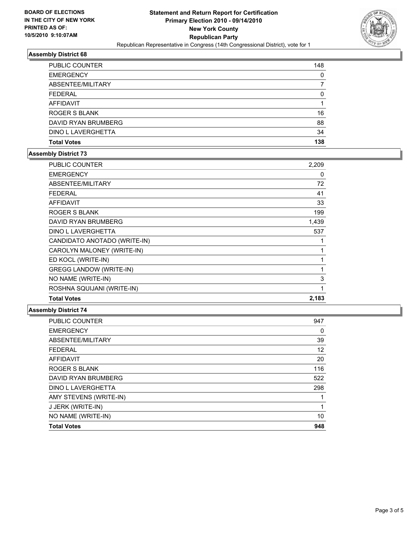

## **Assembly District 68**

| <b>PUBLIC COUNTER</b> | 148 |
|-----------------------|-----|
| <b>EMERGENCY</b>      | 0   |
| ABSENTEE/MILITARY     |     |
| <b>FEDERAL</b>        | 0   |
| <b>AFFIDAVIT</b>      |     |
| ROGER S BLANK         | 16  |
| DAVID RYAN BRUMBERG   | 88  |
| DINO L LAVERGHETTA    | 34  |
| <b>Total Votes</b>    | 138 |

### **Assembly District 73**

| PUBLIC COUNTER                 | 2,209        |
|--------------------------------|--------------|
| <b>EMERGENCY</b>               | 0            |
| ABSENTEE/MILITARY              | 72           |
| <b>FEDERAL</b>                 | 41           |
| <b>AFFIDAVIT</b>               | 33           |
| ROGER S BLANK                  | 199          |
| DAVID RYAN BRUMBERG            | 1,439        |
| DINO L LAVERGHETTA             | 537          |
| CANDIDATO ANOTADO (WRITE-IN)   | 1            |
| CAROLYN MALONEY (WRITE-IN)     | 1            |
| ED KOCL (WRITE-IN)             | 1            |
| <b>GREGG LANDOW (WRITE-IN)</b> | $\mathbf{1}$ |
| NO NAME (WRITE-IN)             | 3            |
| ROSHNA SQUIJANI (WRITE-IN)     | 1            |
| <b>Total Votes</b>             | 2,183        |

### **Assembly District 74**

| <b>PUBLIC COUNTER</b>  | 947               |
|------------------------|-------------------|
| <b>EMERGENCY</b>       | 0                 |
| ABSENTEE/MILITARY      | 39                |
| <b>FEDERAL</b>         | $12 \overline{ }$ |
| AFFIDAVIT              | 20                |
| ROGER S BLANK          | 116               |
| DAVID RYAN BRUMBERG    | 522               |
| DINO L LAVERGHETTA     | 298               |
| AMY STEVENS (WRITE-IN) |                   |
| J JERK (WRITE-IN)      | 1                 |
| NO NAME (WRITE-IN)     | 10                |
| <b>Total Votes</b>     | 948               |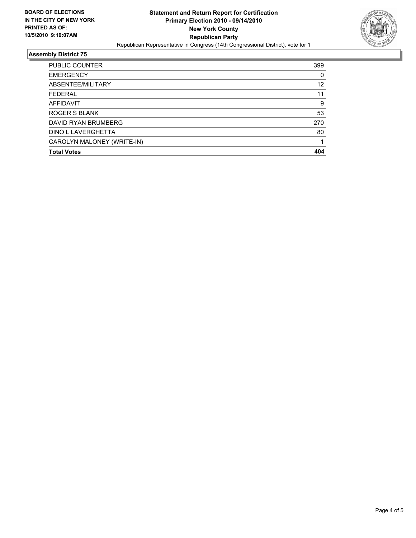

# **Assembly District 75**

| <b>Total Votes</b>         | 404 |
|----------------------------|-----|
| CAROLYN MALONEY (WRITE-IN) |     |
| DINO L LAVERGHETTA         | 80  |
| DAVID RYAN BRUMBERG        | 270 |
| ROGER S BLANK              | 53  |
| <b>AFFIDAVIT</b>           | 9   |
| FFDFRAL                    | 11  |
| ABSENTEE/MILITARY          | 12  |
| <b>EMERGENCY</b>           | 0   |
| <b>PUBLIC COUNTER</b>      | 399 |